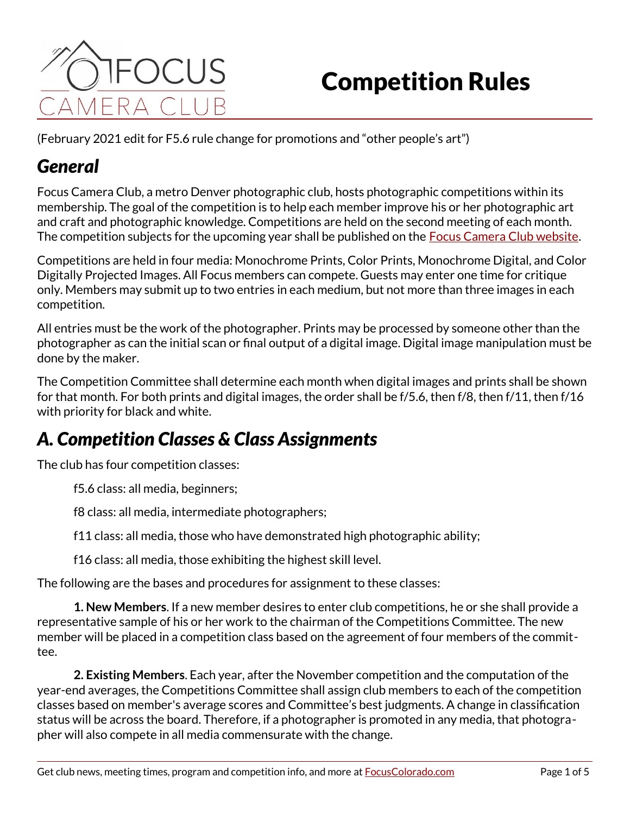

# Competition Rules

(February 2021 edit for F5.6 rule change for promotions and "other people's art")

### *General*

Focus Camera Club, a metro Denver photographic club, hosts photographic competitions within its membership. The goal of the competition is to help each member improve his or her photographic art and craft and photographic knowledge. Competitions are held on the second meeting of each month. The competition subjects for the upcoming year shall be published on the [Focus Camera Club website](http://focuscolorado.com/competition-definitions/).

Competitions are held in four media: Monochrome Prints, Color Prints, Monochrome Digital, and Color Digitally Projected Images. All Focus members can compete. Guests may enter one time for critique only. Members may submit up to two entries in each medium, but not more than three images in each competition.

All entries must be the work of the photographer. Prints may be processed by someone other than the photographer as can the initial scan or final output of a digital image. Digital image manipulation must be done by the maker.

The Competition Committee shall determine each month when digital images and prints shall be shown for that month. For both prints and digital images, the order shall be f/5.6, then f/8, then f/11, then f/16 with priority for black and white.

# *A. Competition Classes & Class Assignments*

The club has four competition classes:

f5.6 class: all media, beginners;

f8 class: all media, intermediate photographers;

f11 class: all media, those who have demonstrated high photographic ability;

f16 class: all media, those exhibiting the highest skill level.

The following are the bases and procedures for assignment to these classes:

**1. New Members**. If a new member desires to enter club competitions, he or she shall provide a representative sample of his or her work to the chairman of the Competitions Committee. The new member will be placed in a competition class based on the agreement of four members of the committee.

**2. Existing Members**. Each year, after the November competition and the computation of the year-end averages, the Competitions Committee shall assign club members to each of the competition classes based on member's average scores and Committee's best judgments. A change in classification status will be across the board. Therefore, if a photographer is promoted in any media, that photographer will also compete in all media commensurate with the change.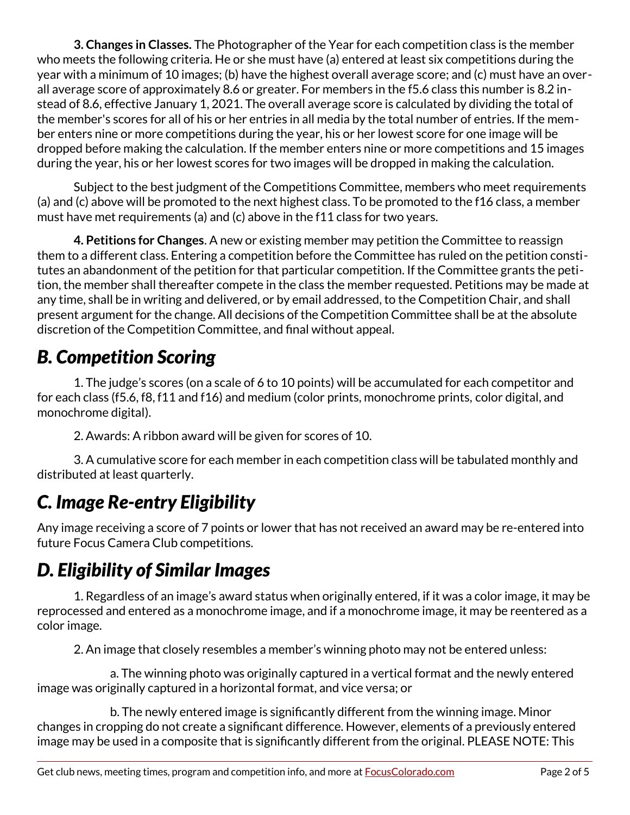**3. Changes in Classes.** The Photographer of the Year for each competition class is the member who meets the following criteria. He or she must have (a) entered at least six competitions during the year with a minimum of 10 images; (b) have the highest overall average score; and (c) must have an overall average score of approximately 8.6 or greater. For members in the f5.6 class this number is 8.2 instead of 8.6, effective January 1, 2021. The overall average score is calculated by dividing the total of the member's scores for all of his or her entries in all media by the total number of entries. If the member enters nine or more competitions during the year, his or her lowest score for one image will be dropped before making the calculation. If the member enters nine or more competitions and 15 images during the year, his or her lowest scores for two images will be dropped in making the calculation.

Subject to the best judgment of the Competitions Committee, members who meet requirements (a) and (c) above will be promoted to the next highest class. To be promoted to the f16 class, a member must have met requirements (a) and (c) above in the f11 class for two years.

**4. Petitions for Changes**. A new or existing member may petition the Committee to reassign them to a different class. Entering a competition before the Committee has ruled on the petition constitutes an abandonment of the petition for that particular competition. If the Committee grants the petition, the member shall thereafter compete in the class the member requested. Petitions may be made at any time, shall be in writing and delivered, or by email addressed, to the Competition Chair, and shall present argument for the change. All decisions of the Competition Committee shall be at the absolute discretion of the Competition Committee, and final without appeal.

# *B. Competition Scoring*

1. The judge's scores (on a scale of 6 to 10 points) will be accumulated for each competitor and for each class (f5.6, f8, f11 and f16) and medium (color prints, monochrome prints, color digital, and monochrome digital).

2. Awards: A ribbon award will be given for scores of 10.

3. A cumulative score for each member in each competition class will be tabulated monthly and distributed at least quarterly.

# *C. Image Re-entry Eligibility*

Any image receiving a score of 7 points or lower that has not received an award may be re-entered into future Focus Camera Club competitions.

# *D. Eligibility of Similar Images*

1. Regardless of an image's award status when originally entered, if it was a color image, it may be reprocessed and entered as a monochrome image, and if a monochrome image, it may be reentered as a color image.

2. An image that closely resembles a member's winning photo may not be entered unless:

a. The winning photo was originally captured in a vertical format and the newly entered image was originally captured in a horizontal format, and vice versa; or

b. The newly entered image is significantly different from the winning image. Minor changes in cropping do not create a significant difference. However, elements of a previously entered image may be used in a composite that is significantly different from the original. PLEASE NOTE: This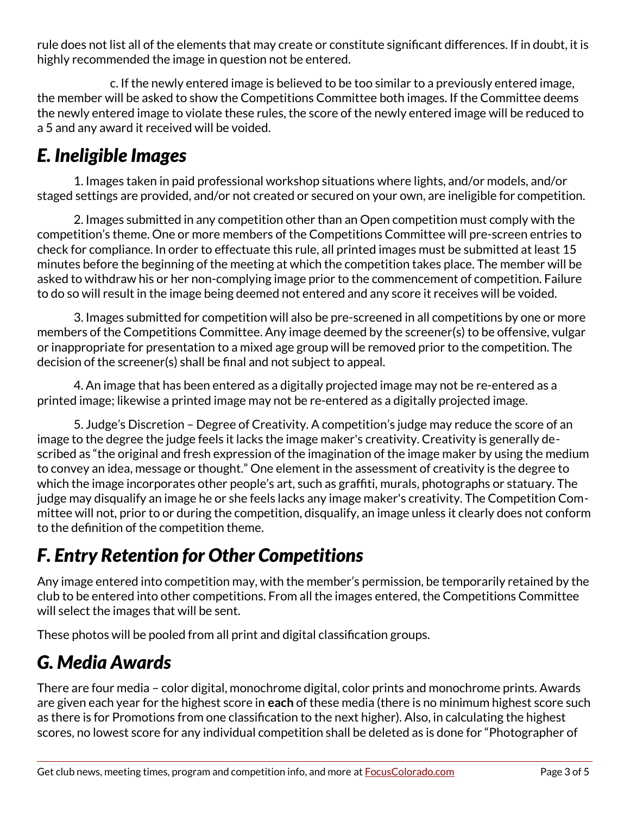rule does not list all of the elements that may create or constitute significant differences. If in doubt, it is highly recommended the image in question not be entered.

c. If the newly entered image is believed to be too similar to a previously entered image, the member will be asked to show the Competitions Committee both images. If the Committee deems the newly entered image to violate these rules, the score of the newly entered image will be reduced to a 5 and any award it received will be voided.

# *E. Ineligible Images*

1. Images taken in paid professional workshop situations where lights, and/or models, and/or staged settings are provided, and/or not created or secured on your own, are ineligible for competition.

2. Images submitted in any competition other than an Open competition must comply with the competition's theme. One or more members of the Competitions Committee will pre-screen entries to check for compliance. In order to effectuate this rule, all printed images must be submitted at least 15 minutes before the beginning of the meeting at which the competition takes place. The member will be asked to withdraw his or her non-complying image prior to the commencement of competition. Failure to do so will result in the image being deemed not entered and any score it receives will be voided.

3. Images submitted for competition will also be pre-screened in all competitions by one or more members of the Competitions Committee. Any image deemed by the screener(s) to be offensive, vulgar or inappropriate for presentation to a mixed age group will be removed prior to the competition. The decision of the screener(s) shall be final and not subject to appeal.

4. An image that has been entered as a digitally projected image may not be re-entered as a printed image; likewise a printed image may not be re-entered as a digitally projected image.

5. Judge's Discretion – Degree of Creativity. A competition's judge may reduce the score of an image to the degree the judge feels it lacks the image maker's creativity. Creativity is generally described as "the original and fresh expression of the imagination of the image maker by using the medium to convey an idea, message or thought." One element in the assessment of creativity is the degree to which the image incorporates other people's art, such as graffiti, murals, photographs or statuary. The judge may disqualify an image he or she feels lacks any image maker's creativity. The Competition Committee will not, prior to or during the competition, disqualify, an image unless it clearly does not conform to the definition of the competition theme.

# *F. Entry Retention for Other Competitions*

Any image entered into competition may, with the member's permission, be temporarily retained by the club to be entered into other competitions. From all the images entered, the Competitions Committee will select the images that will be sent.

These photos will be pooled from all print and digital classification groups.

## *G. Media Awards*

There are four media – color digital, monochrome digital, color prints and monochrome prints. Awards are given each year for the highest score in **each** of these media (there is no minimum highest score such as there is for Promotions from one classification to the next higher). Also, in calculating the highest scores, no lowest score for any individual competition shall be deleted as is done for "Photographer of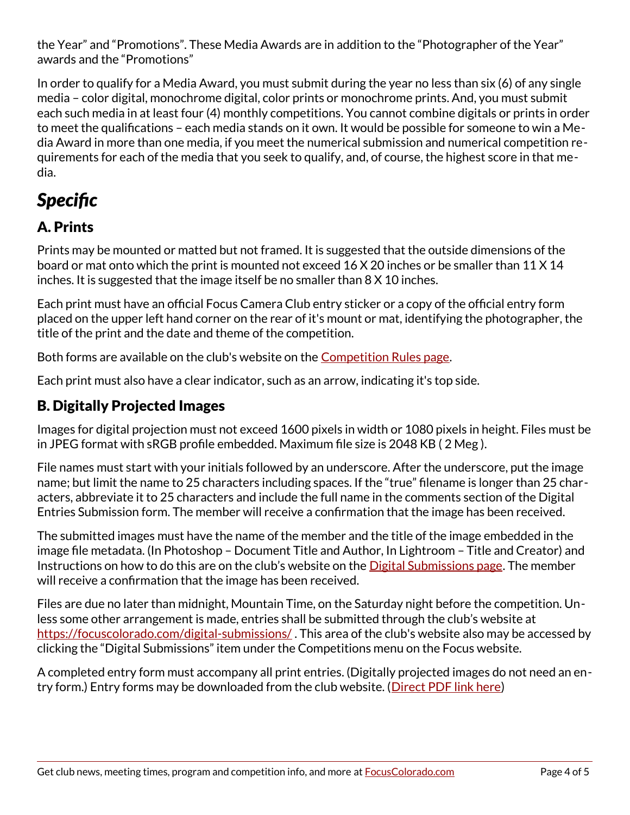the Year" and "Promotions". These Media Awards are in addition to the "Photographer of the Year" awards and the "Promotions"

In order to qualify for a Media Award, you must submit during the year no less than six (6) of any single media – color digital, monochrome digital, color prints or monochrome prints. And, you must submit each such media in at least four (4) monthly competitions. You cannot combine digitals or prints in order to meet the qualifications – each media stands on it own. It would be possible for someone to win a Media Award in more than one media, if you meet the numerical submission and numerical competition requirements for each of the media that you seek to qualify, and, of course, the highest score in that media.

# *Specific*

#### A. Prints

Prints may be mounted or matted but not framed. It is suggested that the outside dimensions of the board or mat onto which the print is mounted not exceed 16 X 20 inches or be smaller than 11 X 14 inches. It is suggested that the image itself be no smaller than 8 X 10 inches.

Each print must have an official Focus Camera Club entry sticker or a copy of the official entry form placed on the upper left hand corner on the rear of it's mount or mat, identifying the photographer, the title of the print and the date and theme of the competition.

Both forms are available on the club's website on the [Competition Rules page](https://focuscolorado.com/competition-rules/).

Each print must also have a clear indicator, such as an arrow, indicating it's top side.

#### B. Digitally Projected Images

Images for digital projection must not exceed 1600 pixels in width or 1080 pixels in height. Files must be in JPEG format with sRGB profile embedded. Maximum file size is 2048 KB ( 2 Meg ).

File names must start with your initials followed by an underscore. After the underscore, put the image name; but limit the name to 25 characters including spaces. If the "true" filename is longer than 25 characters, abbreviate it to 25 characters and include the full name in the comments section of the Digital Entries Submission form. The member will receive a confirmation that the image has been received.

The submitted images must have the name of the member and the title of the image embedded in the image file metadata. (In Photoshop – Document Title and Author, In Lightroom – Title and Creator) and Instructions on how to do this are on the club's website on the **Digital Submissions page**. The member will receive a confirmation that the image has been received.

Files are due no later than midnight, Mountain Time, on the Saturday night before the competition. Unless some other arrangement is made, entries shall be submitted through the club's website at <https://focuscolorado.com/digital-submissions/>. This area of the club's website also may be accessed by clicking the "Digital Submissions" item under the Competitions menu on the Focus website.

A completed entry form must accompany all print entries. (Digitally projected images do not need an entry form.) Entry forms may be downloaded from the club website. ([Direct PDF link here](https://focuscolorado.com/wp-content/uploads/2012/03/FCCEntryForm.pdf))